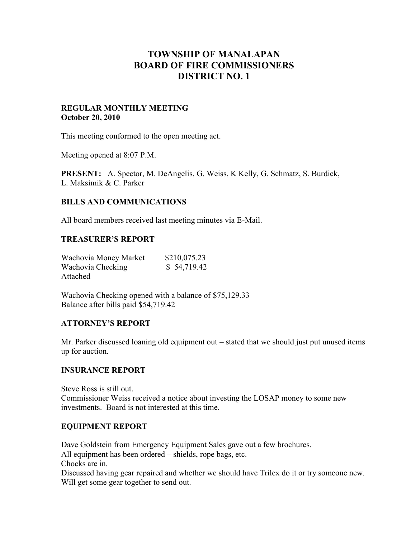# **TOWNSHIP OF MANALAPAN BOARD OF FIRE COMMISSIONERS DISTRICT NO. 1**

### **REGULAR MONTHLY MEETING October 20, 2010**

This meeting conformed to the open meeting act.

Meeting opened at 8:07 P.M.

**PRESENT:** A. Spector, M. DeAngelis, G. Weiss, K Kelly, G. Schmatz, S. Burdick, L. Maksimik & C. Parker

### **BILLS AND COMMUNICATIONS**

All board members received last meeting minutes via E-Mail.

### **TREASURER'S REPORT**

| Wachovia Money Market | \$210,075.23 |
|-----------------------|--------------|
| Wachovia Checking     | \$54,719.42  |
| Attached              |              |

Wachovia Checking opened with a balance of \$75,129.33 Balance after bills paid \$54,719.42

### **ATTORNEY'S REPORT**

Mr. Parker discussed loaning old equipment out – stated that we should just put unused items up for auction.

### **INSURANCE REPORT**

Steve Ross is still out. Commissioner Weiss received a notice about investing the LOSAP money to some new investments. Board is not interested at this time.

### **EQUIPMENT REPORT**

Dave Goldstein from Emergency Equipment Sales gave out a few brochures.

All equipment has been ordered – shields, rope bags, etc.

Chocks are in.

Discussed having gear repaired and whether we should have Trilex do it or try someone new. Will get some gear together to send out.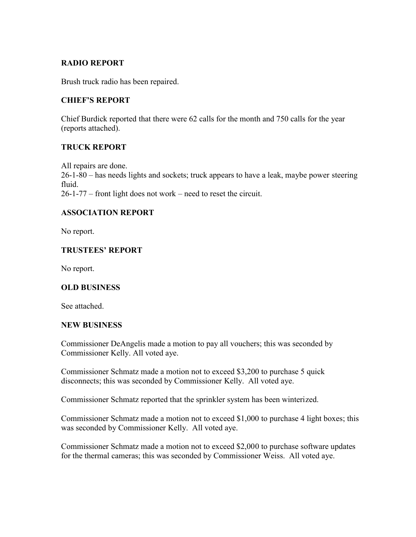# **RADIO REPORT**

Brush truck radio has been repaired.

# **CHIEF'S REPORT**

Chief Burdick reported that there were 62 calls for the month and 750 calls for the year (reports attached).

# **TRUCK REPORT**

All repairs are done. 26-1-80 – has needs lights and sockets; truck appears to have a leak, maybe power steering fluid. 26-1-77 – front light does not work – need to reset the circuit.

# **ASSOCIATION REPORT**

No report.

# **TRUSTEES' REPORT**

No report.

# **OLD BUSINESS**

See attached.

### **NEW BUSINESS**

Commissioner DeAngelis made a motion to pay all vouchers; this was seconded by Commissioner Kelly. All voted aye.

Commissioner Schmatz made a motion not to exceed \$3,200 to purchase 5 quick disconnects; this was seconded by Commissioner Kelly. All voted aye.

Commissioner Schmatz reported that the sprinkler system has been winterized.

Commissioner Schmatz made a motion not to exceed \$1,000 to purchase 4 light boxes; this was seconded by Commissioner Kelly. All voted aye.

Commissioner Schmatz made a motion not to exceed \$2,000 to purchase software updates for the thermal cameras; this was seconded by Commissioner Weiss. All voted aye.